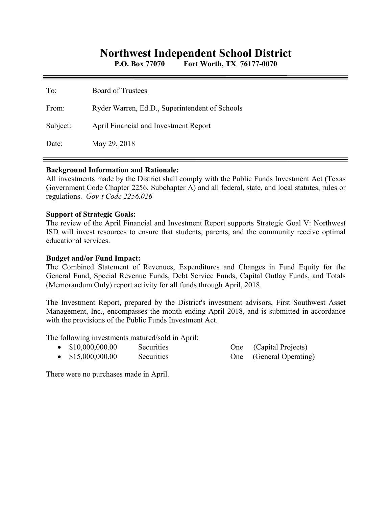# **Northwest Independent School District**

**P.O. Box 77070 Fort Worth, TX 76177-0070** 

| To:      | <b>Board of Trustees</b>                       |
|----------|------------------------------------------------|
| From:    | Ryder Warren, Ed.D., Superintendent of Schools |
| Subject: | April Financial and Investment Report          |
| Date:    | May 29, 2018                                   |

#### **Background Information and Rationale:**

All investments made by the District shall comply with the Public Funds Investment Act (Texas Government Code Chapter 2256, Subchapter A) and all federal, state, and local statutes, rules or regulations. *Gov't Code 2256.026* 

#### **Support of Strategic Goals:**

The review of the April Financial and Investment Report supports Strategic Goal V: Northwest ISD will invest resources to ensure that students, parents, and the community receive optimal educational services.

### **Budget and/or Fund Impact:**

The Combined Statement of Revenues, Expenditures and Changes in Fund Equity for the General Fund, Special Revenue Funds, Debt Service Funds, Capital Outlay Funds, and Totals (Memorandum Only) report activity for all funds through April, 2018.

The Investment Report, prepared by the District's investment advisors, First Southwest Asset Management, Inc., encompasses the month ending April 2018, and is submitted in accordance with the provisions of the Public Funds Investment Act.

The following investments matured/sold in April:

• \$15,000,000.00 Securities One (General Operating)

One (Capital Projects)

There were no purchases made in April.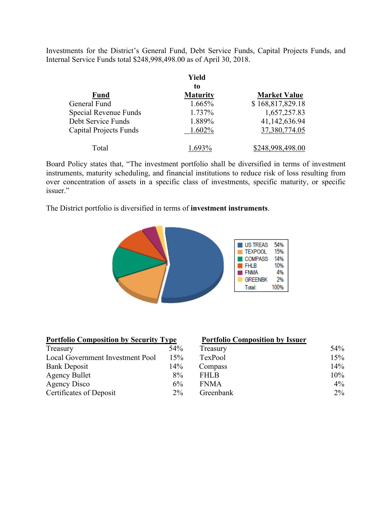Investments for the District's General Fund, Debt Service Funds, Capital Projects Funds, and Internal Service Funds total \$248,998,498.00 as of April 30, 2018.

|                        | Yield                 |                     |
|------------------------|-----------------------|---------------------|
| <b>Fund</b>            | to<br><b>Maturity</b> | <b>Market Value</b> |
| General Fund           | 1.665%                | \$168,817,829.18    |
| Special Revenue Funds  | 1.737%                | 1,657,257.83        |
| Debt Service Funds     | 1.889%                | 41,142,636.94       |
| Capital Projects Funds | 1.602%                | 37,380,774.05       |
| Total                  |                       | \$248,998,498.00    |

Board Policy states that, "The investment portfolio shall be diversified in terms of investment instruments, maturity scheduling, and financial institutions to reduce risk of loss resulting from over concentration of assets in a specific class of investments, specific maturity, or specific issuer."

The District portfolio is diversified in terms of **investment instruments**.



|--|

| Treasury                         | 54%    |
|----------------------------------|--------|
| Local Government Investment Pool | 15%    |
| <b>Bank Deposit</b>              | $14\%$ |
| <b>Agency Bullet</b>             | $8\%$  |
| <b>Agency Disco</b>              | 6%     |
| Certificates of Deposit          | $2\%$  |

#### **Portfolio Composition by Issuer**

| 54%   | Treasury    | 54%   |
|-------|-------------|-------|
| 15%   | TexPool     | 15%   |
| 14%   | Compass     | 14%   |
| 8%    | <b>FHLB</b> | 10%   |
| $6\%$ | <b>FNMA</b> | $4\%$ |
| $2\%$ | Greenbank   | $2\%$ |
|       |             |       |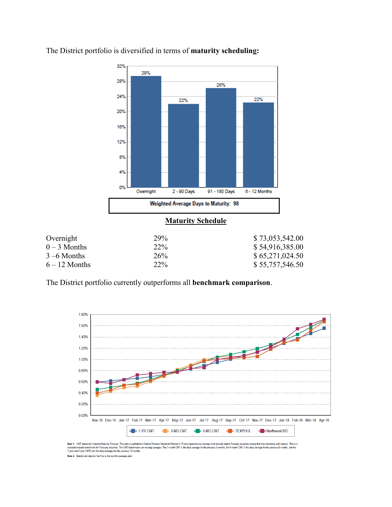

The District portfolio is diversified in terms of **maturity scheduling:** 

| Overnight       | 29% | \$73,053,542.00 |
|-----------------|-----|-----------------|
| $0 - 3$ Months  | 22% | \$54,916,385.00 |
| $3 - 6$ Months  | 26% | \$65,271,024.50 |
| $6 - 12$ Months | 22% | \$55,757,546.50 |

The District portfolio currently outperforms all **benchmark comparison**.



Note 1: CMT stands for Constant Maturity Treasury. This data is published in Federal Resene Statistical Release H.15 and represents an average of all actively traded Treasury securities having that time remaining until mat

Note 2: Benchmark data for TexPool is the monthly average yield.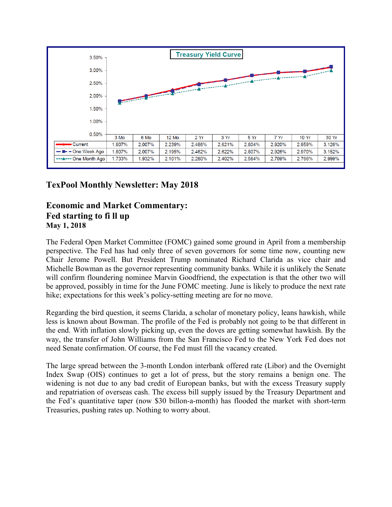

## **TexPool Monthly Newsletter: May 2018**

### **Economic and Market Commentary: Fed starting to fi ll up May 1, 2018**

The Federal Open Market Committee (FOMC) gained some ground in April from a membership perspective. The Fed has had only three of seven governors for some time now, counting new Chair Jerome Powell. But President Trump nominated Richard Clarida as vice chair and Michelle Bowman as the governor representing community banks. While it is unlikely the Senate will confirm floundering nominee Marvin Goodfriend, the expectation is that the other two will be approved, possibly in time for the June FOMC meeting. June is likely to produce the next rate hike; expectations for this week's policy-setting meeting are for no move.

Regarding the bird question, it seems Clarida, a scholar of monetary policy, leans hawkish, while less is known about Bowman. The profile of the Fed is probably not going to be that different in the end. With inflation slowly picking up, even the doves are getting somewhat hawkish. By the way, the transfer of John Williams from the San Francisco Fed to the New York Fed does not need Senate confirmation. Of course, the Fed must fill the vacancy created.

The large spread between the 3-month London interbank offered rate (Libor) and the Overnight Index Swap (OIS) continues to get a lot of press, but the story remains a benign one. The widening is not due to any bad credit of European banks, but with the excess Treasury supply and repatriation of overseas cash. The excess bill supply issued by the Treasury Department and the Fed's quantitative taper (now \$30 billon-a-month) has flooded the market with short-term Treasuries, pushing rates up. Nothing to worry about.